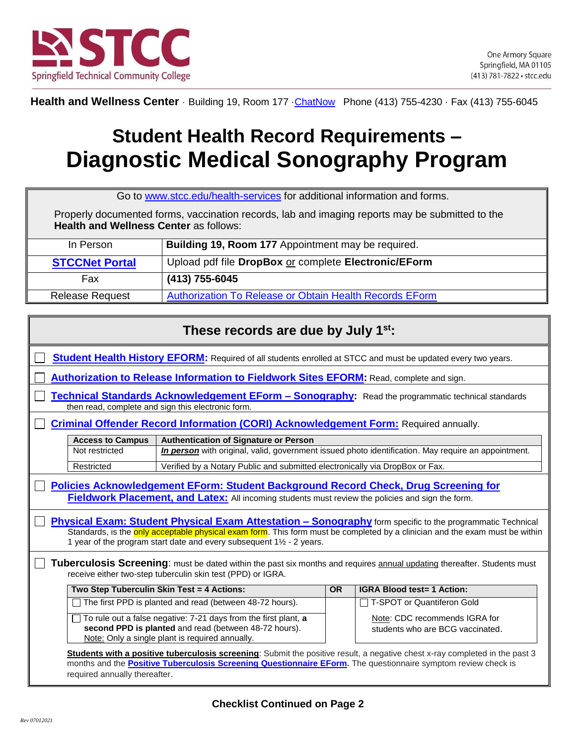

Health and Wellness Center · Building 19, Room 177 · ChatNow Phone (413) 755-4230 · Fax (413) 755-6045

## **Student Health Record Requirements – Diagnostic Medical Sonography Program**

Go to [www.stcc.edu/health-services](https://www.stcc.edu/health-services/) for additional information and forms.

Properly documented forms, vaccination records, lab and imaging reports may be submitted to the **Health and Wellness Center** as follows:

| In Person              | Building 19, Room 177 Appointment may be required.      |
|------------------------|---------------------------------------------------------|
| <b>STCCNet Portal</b>  | Upload pdf file DropBox or complete Electronic/EForm    |
| Fax                    | (413) 755-6045                                          |
| <b>Release Request</b> | Authorization To Release or Obtain Health Records EForm |

| These records are due by July 1 <sup>st</sup> :                                                                                                                                                                                                                                                                                     |                                                                                                                              |           |                                                                                                     |  |
|-------------------------------------------------------------------------------------------------------------------------------------------------------------------------------------------------------------------------------------------------------------------------------------------------------------------------------------|------------------------------------------------------------------------------------------------------------------------------|-----------|-----------------------------------------------------------------------------------------------------|--|
| <b>Student Health History EFORM:</b> Required of all students enrolled at STCC and must be updated every two years.                                                                                                                                                                                                                 |                                                                                                                              |           |                                                                                                     |  |
| Authorization to Release Information to Fieldwork Sites EFORM: Read, complete and sign.                                                                                                                                                                                                                                             |                                                                                                                              |           |                                                                                                     |  |
| Technical Standards Acknowledgement EForm - Sonography: Read the programmatic technical standards<br>then read, complete and sign this electronic form.                                                                                                                                                                             |                                                                                                                              |           |                                                                                                     |  |
| <b>Criminal Offender Record Information (CORI) Acknowledgement Form: Required annually.</b>                                                                                                                                                                                                                                         |                                                                                                                              |           |                                                                                                     |  |
| <b>Access to Campus</b><br>Not restricted<br>Restricted                                                                                                                                                                                                                                                                             | <b>Authentication of Signature or Person</b><br>Verified by a Notary Public and submitted electronically via DropBox or Fax. |           | In person with original, valid, government issued photo identification. May require an appointment. |  |
| <b>Policies Acknowledgement EForm: Student Background Record Check, Drug Screening for</b><br>Fieldwork Placement, and Latex: All incoming students must review the policies and sign the form.                                                                                                                                     |                                                                                                                              |           |                                                                                                     |  |
| <b>Physical Exam: Student Physical Exam Attestation - Sonography form specific to the programmatic Technical</b><br>Standards, is the only acceptable physical exam form. This form must be completed by a clinician and the exam must be within<br>1 year of the program start date and every subsequent $1\frac{1}{2}$ - 2 years. |                                                                                                                              |           |                                                                                                     |  |
| Tuberculosis Screening: must be dated within the past six months and requires annual updating thereafter. Students must<br>receive either two-step tuberculin skin test (PPD) or IGRA.                                                                                                                                              |                                                                                                                              |           |                                                                                                     |  |
|                                                                                                                                                                                                                                                                                                                                     | Two Step Tuberculin Skin Test = 4 Actions:                                                                                   | <b>OR</b> | <b>IGRA Blood test= 1 Action:</b>                                                                   |  |
| $\Box$ The first PPD is planted and read (between 48-72 hours).                                                                                                                                                                                                                                                                     |                                                                                                                              |           | □ T-SPOT or Quantiferon Gold                                                                        |  |
| $\Box$ To rule out a false negative: 7-21 days from the first plant, a<br>second PPD is planted and read (between 48-72 hours).<br>Note: Only a single plant is required annually.                                                                                                                                                  |                                                                                                                              |           | Note: CDC recommends IGRA for<br>students who are BCG vaccinated.                                   |  |
| Students with a positive tuberculosis screening: Submit the positive result, a negative chest x-ray completed in the past 3<br>months and the <b>Positive Tuberculosis Screening Questionnaire EForm</b> . The questionnaire symptom review check is<br>required annually thereafter.                                               |                                                                                                                              |           |                                                                                                     |  |